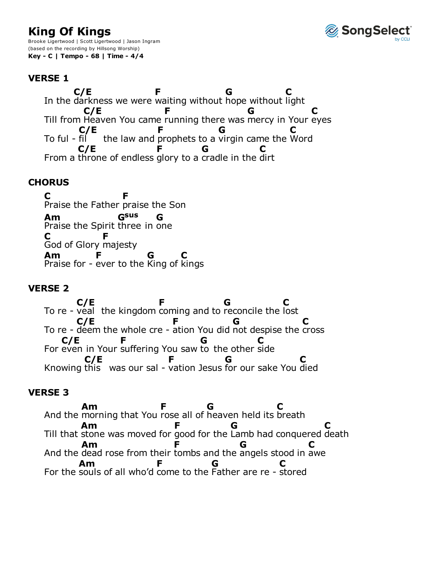# **King Of Kings**

Brooke Ligertwood | Scott Ligertwood | Jason Ingram (based on the recording by Hillsong Worship) **Key - C | Tempo - 68 | Time - 4/4**



# **VERSE 1**

In the darkness we were waiting without hope without light Till from Heaven You came running there was mercy in Your eyes To ful - fil the law and prophets to a virgin came the Word From a throne of endless glory to a cradle in the dirt **C/E F G C C/E F G C C/E F G C C/E F G C**

# **CHORUS**

Praise the Father praise the Son Praise the Spirit three in one God of Glory majesty Praise for - ever to the King of kings **C F Am Gsus G C F Am F G C**

# **VERSE 2**

To re - veal the kingdom coming and to reconcile the lost To re - deem the whole cre - ation You did not despise the cross For even in Your suffering You saw to the other side Knowing this was our sal - vation Jesus for our sake You died **C/E F G C C/E F G C C/E F G C C/E F G C**

### **VERSE 3**

And the morning that You rose all of heaven held its Till that stone was moved for good for the Lamb had conquered death And the dead rose from their tombs and the angels stood in For the souls of all who'd come to the Father are re - stored **Am F** heaven held its breath **G C Am F G C Am F** angels **G** awe **C Am F G C**